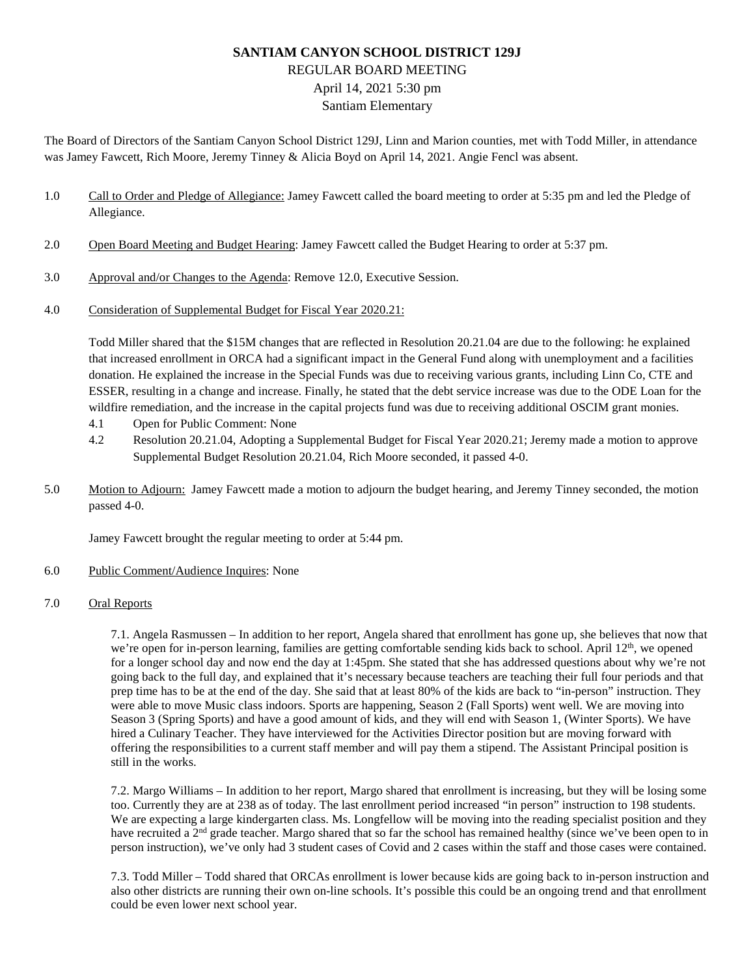# **SANTIAM CANYON SCHOOL DISTRICT 129J** REGULAR BOARD MEETING April 14, 2021 5:30 pm Santiam Elementary

The Board of Directors of the Santiam Canyon School District 129J, Linn and Marion counties, met with Todd Miller, in attendance was Jamey Fawcett, Rich Moore, Jeremy Tinney & Alicia Boyd on April 14, 2021. Angie Fencl was absent.

- 1.0 Call to Order and Pledge of Allegiance: Jamey Fawcett called the board meeting to order at 5:35 pm and led the Pledge of Allegiance.
- 2.0 Open Board Meeting and Budget Hearing: Jamey Fawcett called the Budget Hearing to order at 5:37 pm.
- 3.0 Approval and/or Changes to the Agenda: Remove 12.0, Executive Session.
- 4.0 Consideration of Supplemental Budget for Fiscal Year 2020.21:

Todd Miller shared that the \$15M changes that are reflected in Resolution 20.21.04 are due to the following: he explained that increased enrollment in ORCA had a significant impact in the General Fund along with unemployment and a facilities donation. He explained the increase in the Special Funds was due to receiving various grants, including Linn Co, CTE and ESSER, resulting in a change and increase. Finally, he stated that the debt service increase was due to the ODE Loan for the wildfire remediation, and the increase in the capital projects fund was due to receiving additional OSCIM grant monies.

- 4.1 Open for Public Comment: None
- 4.2 Resolution 20.21.04, Adopting a Supplemental Budget for Fiscal Year 2020.21; Jeremy made a motion to approve Supplemental Budget Resolution 20.21.04, Rich Moore seconded, it passed 4-0.
- 5.0 Motion to Adjourn: Jamey Fawcett made a motion to adjourn the budget hearing, and Jeremy Tinney seconded, the motion passed 4-0.

Jamey Fawcett brought the regular meeting to order at 5:44 pm.

### 6.0 Public Comment/Audience Inquires: None

## 7.0 Oral Reports

7.1. Angela Rasmussen – In addition to her report, Angela shared that enrollment has gone up, she believes that now that we're open for in-person learning, families are getting comfortable sending kids back to school. April  $12<sup>th</sup>$ , we opened for a longer school day and now end the day at 1:45pm. She stated that she has addressed questions about why we're not going back to the full day, and explained that it's necessary because teachers are teaching their full four periods and that prep time has to be at the end of the day. She said that at least 80% of the kids are back to "in-person" instruction. They were able to move Music class indoors. Sports are happening, Season 2 (Fall Sports) went well. We are moving into Season 3 (Spring Sports) and have a good amount of kids, and they will end with Season 1, (Winter Sports). We have hired a Culinary Teacher. They have interviewed for the Activities Director position but are moving forward with offering the responsibilities to a current staff member and will pay them a stipend. The Assistant Principal position is still in the works.

7.2. Margo Williams – In addition to her report, Margo shared that enrollment is increasing, but they will be losing some too. Currently they are at 238 as of today. The last enrollment period increased "in person" instruction to 198 students. We are expecting a large kindergarten class. Ms. Longfellow will be moving into the reading specialist position and they have recruited a 2<sup>nd</sup> grade teacher. Margo shared that so far the school has remained healthy (since we've been open to in person instruction), we've only had 3 student cases of Covid and 2 cases within the staff and those cases were contained.

7.3. Todd Miller – Todd shared that ORCAs enrollment is lower because kids are going back to in-person instruction and also other districts are running their own on-line schools. It's possible this could be an ongoing trend and that enrollment could be even lower next school year.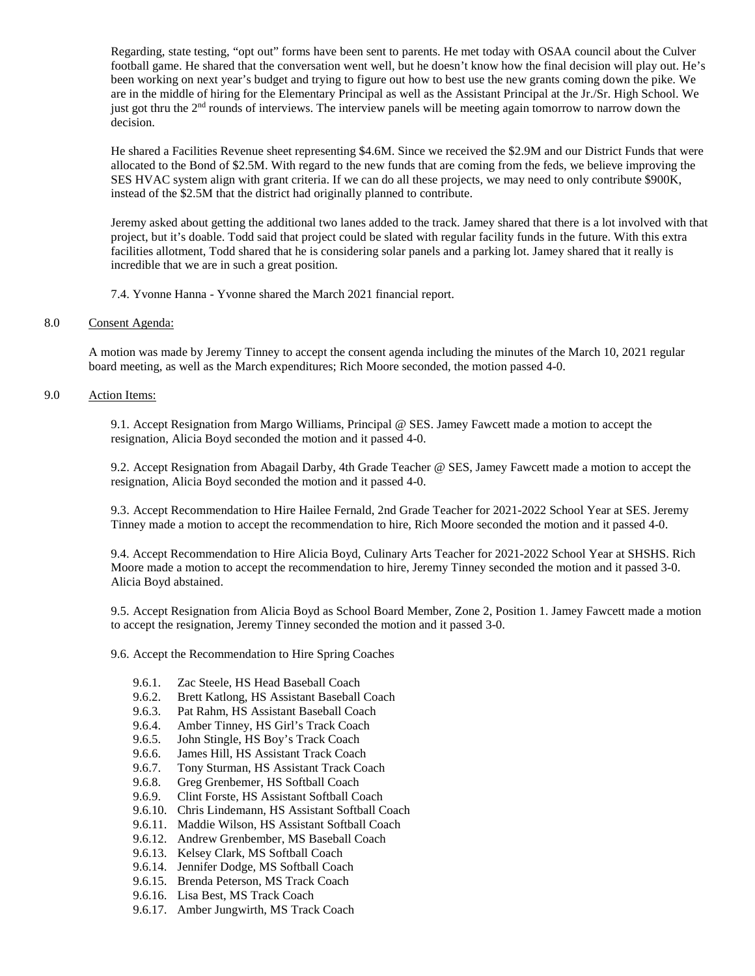Regarding, state testing, "opt out" forms have been sent to parents. He met today with OSAA council about the Culver football game. He shared that the conversation went well, but he doesn't know how the final decision will play out. He's been working on next year's budget and trying to figure out how to best use the new grants coming down the pike. We are in the middle of hiring for the Elementary Principal as well as the Assistant Principal at the Jr./Sr. High School. We just got thru the 2<sup>nd</sup> rounds of interviews. The interview panels will be meeting again tomorrow to narrow down the decision.

He shared a Facilities Revenue sheet representing \$4.6M. Since we received the \$2.9M and our District Funds that were allocated to the Bond of \$2.5M. With regard to the new funds that are coming from the feds, we believe improving the SES HVAC system align with grant criteria. If we can do all these projects, we may need to only contribute \$900K, instead of the \$2.5M that the district had originally planned to contribute.

Jeremy asked about getting the additional two lanes added to the track. Jamey shared that there is a lot involved with that project, but it's doable. Todd said that project could be slated with regular facility funds in the future. With this extra facilities allotment, Todd shared that he is considering solar panels and a parking lot. Jamey shared that it really is incredible that we are in such a great position.

7.4. Yvonne Hanna - Yvonne shared the March 2021 financial report.

### 8.0 Consent Agenda:

A motion was made by Jeremy Tinney to accept the consent agenda including the minutes of the March 10, 2021 regular board meeting, as well as the March expenditures; Rich Moore seconded, the motion passed 4-0.

## 9.0 Action Items:

9.1. Accept Resignation from Margo Williams, Principal @ SES. Jamey Fawcett made a motion to accept the resignation, Alicia Boyd seconded the motion and it passed 4-0.

9.2. Accept Resignation from Abagail Darby, 4th Grade Teacher @ SES, Jamey Fawcett made a motion to accept the resignation, Alicia Boyd seconded the motion and it passed 4-0.

9.3. Accept Recommendation to Hire Hailee Fernald, 2nd Grade Teacher for 2021-2022 School Year at SES. Jeremy Tinney made a motion to accept the recommendation to hire, Rich Moore seconded the motion and it passed 4-0.

9.4. Accept Recommendation to Hire Alicia Boyd, Culinary Arts Teacher for 2021-2022 School Year at SHSHS. Rich Moore made a motion to accept the recommendation to hire, Jeremy Tinney seconded the motion and it passed 3-0. Alicia Boyd abstained.

9.5. Accept Resignation from Alicia Boyd as School Board Member, Zone 2, Position 1. Jamey Fawcett made a motion to accept the resignation, Jeremy Tinney seconded the motion and it passed 3-0.

9.6. Accept the Recommendation to Hire Spring Coaches

- 9.6.1. Zac Steele, HS Head Baseball Coach
- 9.6.2. Brett Katlong, HS Assistant Baseball Coach
- 9.6.3. Pat Rahm, HS Assistant Baseball Coach
- 9.6.4. Amber Tinney, HS Girl's Track Coach
- 9.6.5. John Stingle, HS Boy's Track Coach
- 9.6.6. James Hill, HS Assistant Track Coach
- 9.6.7. Tony Sturman, HS Assistant Track Coach
- 9.6.8. Greg Grenbemer, HS Softball Coach
- 9.6.9. Clint Forste, HS Assistant Softball Coach
- 9.6.10. Chris Lindemann, HS Assistant Softball Coach
- 9.6.11. Maddie Wilson, HS Assistant Softball Coach
- 9.6.12. Andrew Grenbember, MS Baseball Coach
- 9.6.13. Kelsey Clark, MS Softball Coach
- 9.6.14. Jennifer Dodge, MS Softball Coach
- 9.6.15. Brenda Peterson, MS Track Coach
- 9.6.16. Lisa Best, MS Track Coach
- 9.6.17. Amber Jungwirth, MS Track Coach